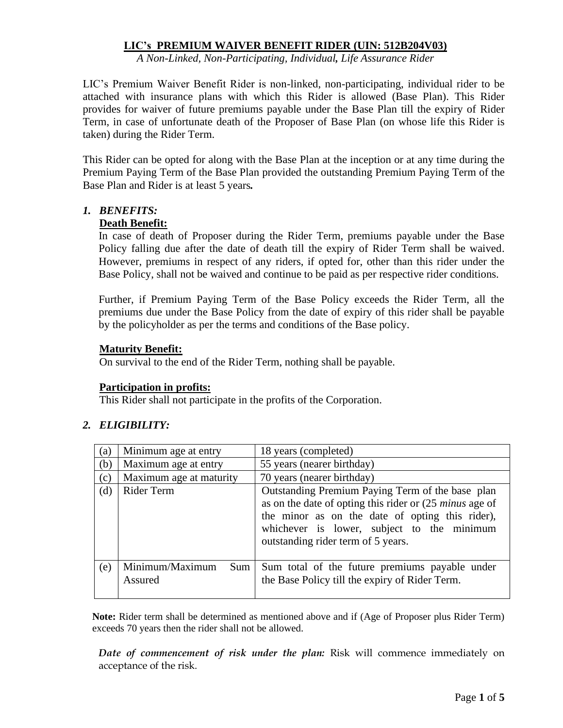## **LIC's PREMIUM WAIVER BENEFIT RIDER (UIN: 512B204V03)**

*A Non-Linked, Non-Participating, Individual, Life Assurance Rider*

LIC's Premium Waiver Benefit Rider is non-linked, non-participating, individual rider to be attached with insurance plans with which this Rider is allowed (Base Plan). This Rider provides for waiver of future premiums payable under the Base Plan till the expiry of Rider Term, in case of unfortunate death of the Proposer of Base Plan (on whose life this Rider is taken) during the Rider Term.

This Rider can be opted for along with the Base Plan at the inception or at any time during the Premium Paying Term of the Base Plan provided the outstanding Premium Paying Term of the Base Plan and Rider is at least 5 years*.* 

# *1. BENEFITS:*

### **Death Benefit:**

In case of death of Proposer during the Rider Term, premiums payable under the Base Policy falling due after the date of death till the expiry of Rider Term shall be waived. However, premiums in respect of any riders, if opted for, other than this rider under the Base Policy, shall not be waived and continue to be paid as per respective rider conditions.

Further, if Premium Paying Term of the Base Policy exceeds the Rider Term, all the premiums due under the Base Policy from the date of expiry of this rider shall be payable by the policyholder as per the terms and conditions of the Base policy.

# **Maturity Benefit:**

On survival to the end of the Rider Term, nothing shall be payable.

### **Participation in profits:**

This Rider shall not participate in the profits of the Corporation.

# *2. ELIGIBILITY:*

| (a) | Minimum age at entry              | 18 years (completed)                                                                                                                                                                                                                                          |  |  |  |  |
|-----|-----------------------------------|---------------------------------------------------------------------------------------------------------------------------------------------------------------------------------------------------------------------------------------------------------------|--|--|--|--|
| (b) | Maximum age at entry              | 55 years (nearer birthday)                                                                                                                                                                                                                                    |  |  |  |  |
| (c) | Maximum age at maturity           | 70 years (nearer birthday)                                                                                                                                                                                                                                    |  |  |  |  |
| (d) | Rider Term                        | Outstanding Premium Paying Term of the base plan<br>as on the date of opting this rider or $(25 \text{ minus age of})$<br>the minor as on the date of opting this rider),<br>whichever is lower, subject to the minimum<br>outstanding rider term of 5 years. |  |  |  |  |
| (e) | Minimum/Maximum<br>Sum<br>Assured | Sum total of the future premiums payable under<br>the Base Policy till the expiry of Rider Term.                                                                                                                                                              |  |  |  |  |

**Note:** Rider term shall be determined as mentioned above and if (Age of Proposer plus Rider Term) exceeds 70 years then the rider shall not be allowed.

*Date of commencement of risk under the plan:* Risk will commence immediately on acceptance of the risk.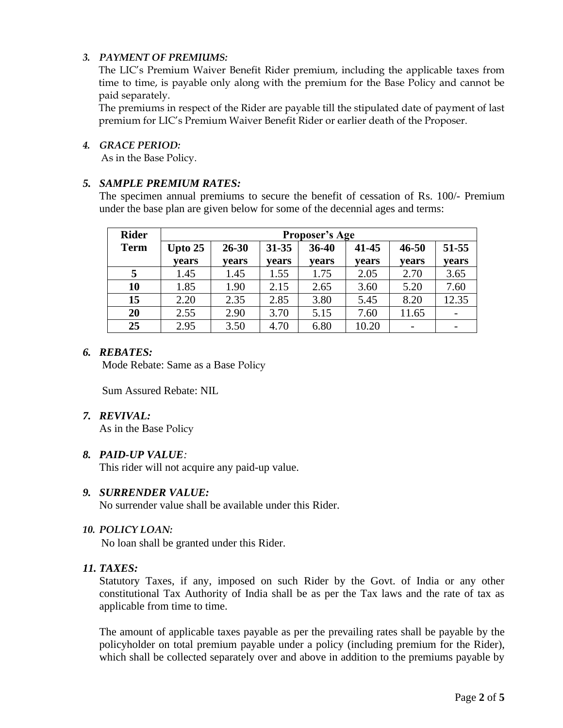# *3. PAYMENT OF PREMIUMS:*

The LIC's Premium Waiver Benefit Rider premium, including the applicable taxes from time to time, is payable only along with the premium for the Base Policy and cannot be paid separately.

The premiums in respect of the Rider are payable till the stipulated date of payment of last premium for LIC's Premium Waiver Benefit Rider or earlier death of the Proposer.

#### *4. GRACE PERIOD:*

As in the Base Policy.

# *5. SAMPLE PREMIUM RATES:*

The specimen annual premiums to secure the benefit of cessation of Rs. 100/- Premium under the base plan are given below for some of the decennial ages and terms:

| <b>Rider</b> | <b>Proposer's Age</b> |           |           |       |       |           |       |  |
|--------------|-----------------------|-----------|-----------|-------|-------|-----------|-------|--|
| <b>Term</b>  | Upto $25$             | $26 - 30$ | $31 - 35$ | 36-40 | 41-45 | $46 - 50$ | 51-55 |  |
|              | vears                 | years     | vears     | vears | vears | vears     | vears |  |
| 5            | 1.45                  | 1.45      | 1.55      | 1.75  | 2.05  | 2.70      | 3.65  |  |
| 10           | 1.85                  | 1.90      | 2.15      | 2.65  | 3.60  | 5.20      | 7.60  |  |
| 15           | 2.20                  | 2.35      | 2.85      | 3.80  | 5.45  | 8.20      | 12.35 |  |
| 20           | 2.55                  | 2.90      | 3.70      | 5.15  | 7.60  | 11.65     |       |  |
| 25           | 2.95                  | 3.50      | 4.70      | 6.80  | 10.20 |           |       |  |

#### *6. REBATES:*

Mode Rebate: Same as a Base Policy

Sum Assured Rebate: NIL

### *7. REVIVAL:*

As in the Base Policy

### *8. PAID-UP VALUE:*

This rider will not acquire any paid-up value.

### *9. SURRENDER VALUE:*

No surrender value shall be available under this Rider.

#### *10. POLICY LOAN:*

No loan shall be granted under this Rider.

### *11. TAXES:*

Statutory Taxes, if any, imposed on such Rider by the Govt. of India or any other constitutional Tax Authority of India shall be as per the Tax laws and the rate of tax as applicable from time to time.

The amount of applicable taxes payable as per the prevailing rates shall be payable by the policyholder on total premium payable under a policy (including premium for the Rider), which shall be collected separately over and above in addition to the premiums payable by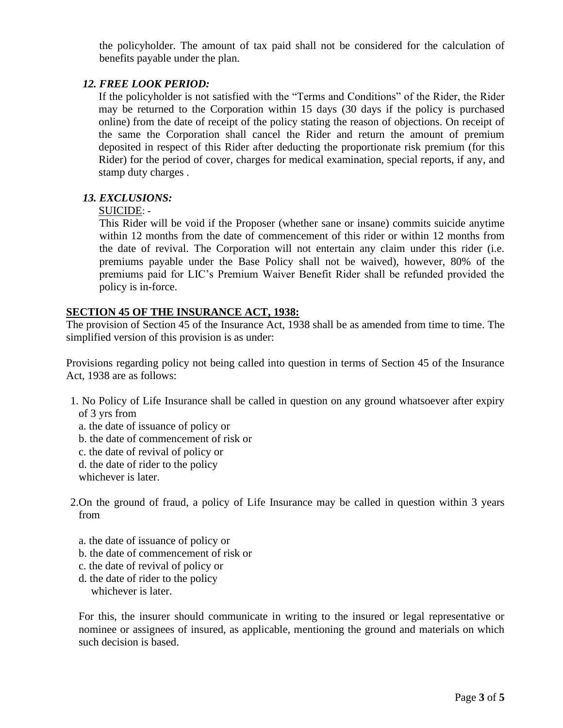the policyholder. The amount of tax paid shall not be considered for the calculation of benefits payable under the plan.

# *12. FREE LOOK PERIOD:*

If the policyholder is not satisfied with the "Terms and Conditions" of the Rider, the Rider may be returned to the Corporation within 15 days (30 days if the policy is purchased online) from the date of receipt of the policy stating the reason of objections. On receipt of the same the Corporation shall cancel the Rider and return the amount of premium deposited in respect of this Rider after deducting the proportionate risk premium (for this Rider) for the period of cover, charges for medical examination, special reports, if any, and stamp duty charges .

### *13. EXCLUSIONS:*

### SUICIDE: -

This Rider will be void if the Proposer (whether sane or insane) commits suicide anytime within 12 months from the date of commencement of this rider or within 12 months from the date of revival. The Corporation will not entertain any claim under this rider (i.e. premiums payable under the Base Policy shall not be waived), however, 80% of the premiums paid for LIC's Premium Waiver Benefit Rider shall be refunded provided the policy is in-force.

# **SECTION 45 OF THE INSURANCE ACT, 1938:**

The provision of Section 45 of the Insurance Act, 1938 shall be as amended from time to time. The simplified version of this provision is as under:

Provisions regarding policy not being called into question in terms of Section 45 of the Insurance Act, 1938 are as follows:

- 1. No Policy of Life Insurance shall be called in question on any ground whatsoever after expiry of 3 yrs from
	- a. the date of issuance of policy or
	- b. the date of commencement of risk or
	- c. the date of revival of policy or
	- d. the date of rider to the policy

whichever is later.

- 2.On the ground of fraud, a policy of Life Insurance may be called in question within 3 years from
	- a. the date of issuance of policy or
	- b. the date of commencement of risk or
	- c. the date of revival of policy or
	- d. the date of rider to the policy whichever is later.

For this, the insurer should communicate in writing to the insured or legal representative or nominee or assignees of insured, as applicable, mentioning the ground and materials on which such decision is based.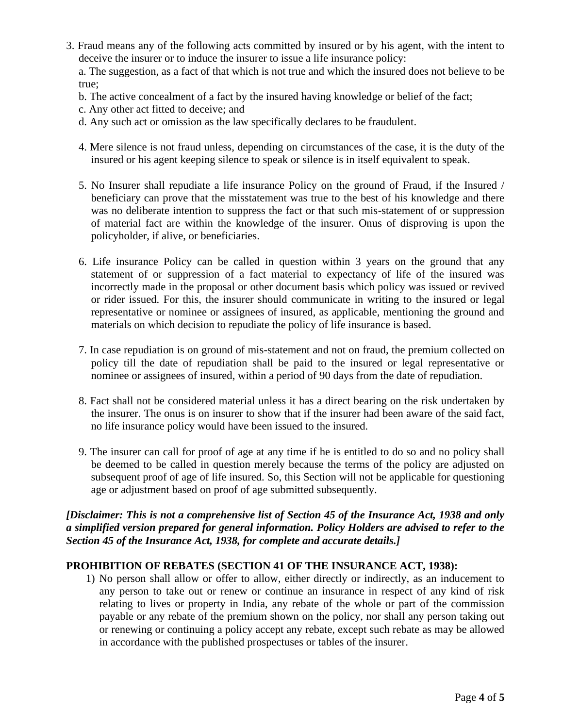3. Fraud means any of the following acts committed by insured or by his agent, with the intent to deceive the insurer or to induce the insurer to issue a life insurance policy:

a. The suggestion, as a fact of that which is not true and which the insured does not believe to be true;

- b. The active concealment of a fact by the insured having knowledge or belief of the fact;
- c. Any other act fitted to deceive; and
- d. Any such act or omission as the law specifically declares to be fraudulent.
- 4. Mere silence is not fraud unless, depending on circumstances of the case, it is the duty of the insured or his agent keeping silence to speak or silence is in itself equivalent to speak.
- 5. No Insurer shall repudiate a life insurance Policy on the ground of Fraud, if the Insured / beneficiary can prove that the misstatement was true to the best of his knowledge and there was no deliberate intention to suppress the fact or that such mis-statement of or suppression of material fact are within the knowledge of the insurer. Onus of disproving is upon the policyholder, if alive, or beneficiaries.
- 6. Life insurance Policy can be called in question within 3 years on the ground that any statement of or suppression of a fact material to expectancy of life of the insured was incorrectly made in the proposal or other document basis which policy was issued or revived or rider issued. For this, the insurer should communicate in writing to the insured or legal representative or nominee or assignees of insured, as applicable, mentioning the ground and materials on which decision to repudiate the policy of life insurance is based.
- 7. In case repudiation is on ground of mis-statement and not on fraud, the premium collected on policy till the date of repudiation shall be paid to the insured or legal representative or nominee or assignees of insured, within a period of 90 days from the date of repudiation.
- 8. Fact shall not be considered material unless it has a direct bearing on the risk undertaken by the insurer. The onus is on insurer to show that if the insurer had been aware of the said fact, no life insurance policy would have been issued to the insured.
- 9. The insurer can call for proof of age at any time if he is entitled to do so and no policy shall be deemed to be called in question merely because the terms of the policy are adjusted on subsequent proof of age of life insured. So, this Section will not be applicable for questioning age or adjustment based on proof of age submitted subsequently.

*[Disclaimer: This is not a comprehensive list of Section 45 of the Insurance Act, 1938 and only a simplified version prepared for general information. Policy Holders are advised to refer to the Section 45 of the Insurance Act, 1938, for complete and accurate details.]*

# **PROHIBITION OF REBATES (SECTION 41 OF THE INSURANCE ACT, 1938):**

1) No person shall allow or offer to allow, either directly or indirectly, as an inducement to any person to take out or renew or continue an insurance in respect of any kind of risk relating to lives or property in India, any rebate of the whole or part of the commission payable or any rebate of the premium shown on the policy, nor shall any person taking out or renewing or continuing a policy accept any rebate, except such rebate as may be allowed in accordance with the published prospectuses or tables of the insurer.